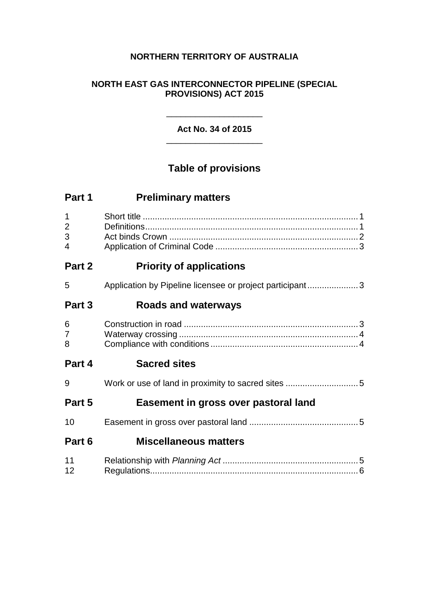### **NORTHERN TERRITORY OF AUSTRALIA**

### **NORTH EAST GAS INTERCONNECTOR PIPELINE (SPECIAL PROVISIONS) ACT 2015**

### \_\_\_\_\_\_\_\_\_\_\_\_\_\_\_\_\_\_\_\_ **Act No. 34 of 2015** \_\_\_\_\_\_\_\_\_\_\_\_\_\_\_\_\_\_\_\_

# **Table of provisions**

| Part 1                                               | <b>Preliminary matters</b>                               |  |
|------------------------------------------------------|----------------------------------------------------------|--|
| $\mathbf 1$<br>$\overline{2}$<br>3<br>$\overline{4}$ |                                                          |  |
| Part 2                                               | <b>Priority of applications</b>                          |  |
| 5                                                    | Application by Pipeline licensee or project participant3 |  |
| Part 3                                               | Roads and waterways                                      |  |
| 6<br>$\overline{7}$<br>8                             |                                                          |  |
| Part 4                                               | <b>Sacred sites</b>                                      |  |
| 9                                                    |                                                          |  |
| Part 5                                               | Easement in gross over pastoral land                     |  |
| 10                                                   |                                                          |  |
| Part 6                                               | <b>Miscellaneous matters</b>                             |  |
| 11<br>12                                             |                                                          |  |
|                                                      |                                                          |  |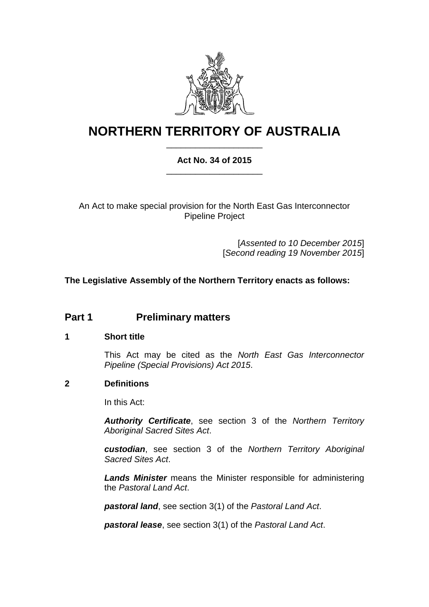

# **NORTHERN TERRITORY OF AUSTRALIA** \_\_\_\_\_\_\_\_\_\_\_\_\_\_\_\_\_\_\_\_

### **Act No. 34 of 2015** \_\_\_\_\_\_\_\_\_\_\_\_\_\_\_\_\_\_\_\_

An Act to make special provision for the North East Gas Interconnector Pipeline Project

> [*Assented to 10 December 2015*] [*Second reading 19 November 2015*]

**The Legislative Assembly of the Northern Territory enacts as follows:**

## **Part 1 Preliminary matters**

#### **1 Short title**

This Act may be cited as the *North East Gas Interconnector Pipeline (Special Provisions) Act 2015*.

#### **2 Definitions**

In this Act:

*Authority Certificate*, see section 3 of the *Northern Territory Aboriginal Sacred Sites Act*.

*custodian*, see section 3 of the *Northern Territory Aboriginal Sacred Sites Act*.

*Lands Minister* means the Minister responsible for administering the *Pastoral Land Act*.

*pastoral land*, see section 3(1) of the *Pastoral Land Act*.

*pastoral lease*, see section 3(1) of the *Pastoral Land Act*.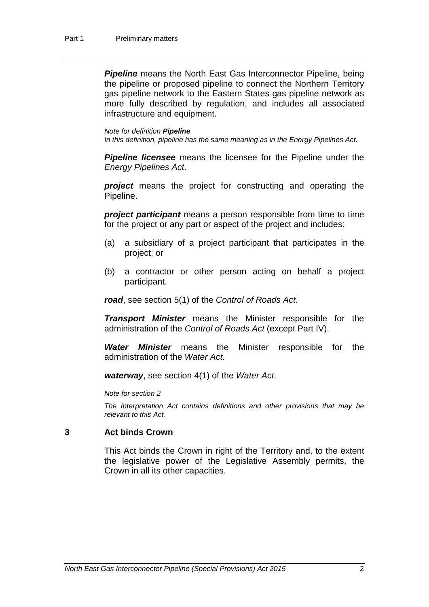**Pipeline** means the North East Gas Interconnector Pipeline, being the pipeline or proposed pipeline to connect the Northern Territory gas pipeline network to the Eastern States gas pipeline network as more fully described by regulation, and includes all associated infrastructure and equipment.

#### *Note for definition Pipeline*

*In this definition, pipeline has the same meaning as in the Energy Pipelines Act.*

*Pipeline licensee* means the licensee for the Pipeline under the *Energy Pipelines Act*.

*project* means the project for constructing and operating the Pipeline.

*project participant* means a person responsible from time to time for the project or any part or aspect of the project and includes:

- (a) a subsidiary of a project participant that participates in the project; or
- (b) a contractor or other person acting on behalf a project participant.

*road*, see section 5(1) of the *Control of Roads Act*.

*Transport Minister* means the Minister responsible for the administration of the *Control of Roads Act* (except Part IV).

*Water Minister* means the Minister responsible for the administration of the *Water Act*.

*waterway*, see section 4(1) of the *Water Act*.

*Note for section 2*

*The Interpretation Act contains definitions and other provisions that may be relevant to this Act.*

#### **3 Act binds Crown**

This Act binds the Crown in right of the Territory and, to the extent the legislative power of the Legislative Assembly permits, the Crown in all its other capacities.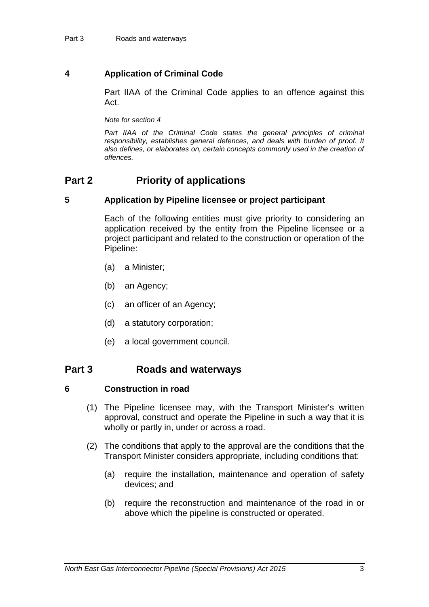#### **4 Application of Criminal Code**

Part IIAA of the Criminal Code applies to an offence against this Act.

*Note for section 4*

Part IIAA of the Criminal Code states the general principles of criminal *responsibility, establishes general defences, and deals with burden of proof. It also defines, or elaborates on, certain concepts commonly used in the creation of offences.*

### **Part 2 Priority of applications**

#### **5 Application by Pipeline licensee or project participant**

Each of the following entities must give priority to considering an application received by the entity from the Pipeline licensee or a project participant and related to the construction or operation of the Pipeline:

- (a) a Minister;
- (b) an Agency;
- (c) an officer of an Agency;
- (d) a statutory corporation;
- (e) a local government council.

### **Part 3 Roads and waterways**

#### **6 Construction in road**

- (1) The Pipeline licensee may, with the Transport Minister's written approval, construct and operate the Pipeline in such a way that it is wholly or partly in, under or across a road.
- (2) The conditions that apply to the approval are the conditions that the Transport Minister considers appropriate, including conditions that:
	- (a) require the installation, maintenance and operation of safety devices; and
	- (b) require the reconstruction and maintenance of the road in or above which the pipeline is constructed or operated.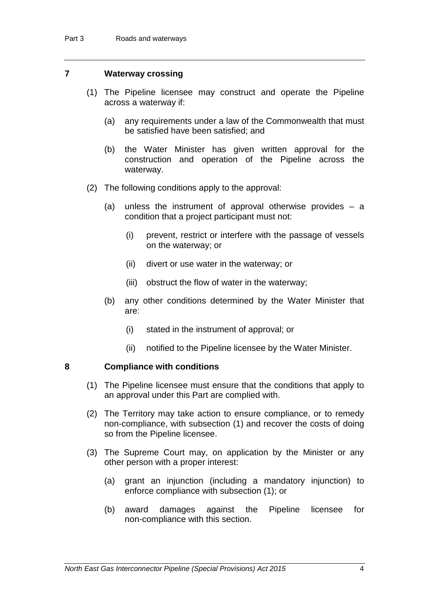#### **7 Waterway crossing**

- (1) The Pipeline licensee may construct and operate the Pipeline across a waterway if:
	- (a) any requirements under a law of the Commonwealth that must be satisfied have been satisfied; and
	- (b) the Water Minister has given written approval for the construction and operation of the Pipeline across the waterway.
- (2) The following conditions apply to the approval:
	- (a) unless the instrument of approval otherwise provides a condition that a project participant must not:
		- (i) prevent, restrict or interfere with the passage of vessels on the waterway; or
		- (ii) divert or use water in the waterway; or
		- (iii) obstruct the flow of water in the waterway;
	- (b) any other conditions determined by the Water Minister that are:
		- (i) stated in the instrument of approval; or
		- (ii) notified to the Pipeline licensee by the Water Minister.

#### **8 Compliance with conditions**

- (1) The Pipeline licensee must ensure that the conditions that apply to an approval under this Part are complied with.
- (2) The Territory may take action to ensure compliance, or to remedy non-compliance, with subsection (1) and recover the costs of doing so from the Pipeline licensee.
- (3) The Supreme Court may, on application by the Minister or any other person with a proper interest:
	- (a) grant an injunction (including a mandatory injunction) to enforce compliance with subsection (1); or
	- (b) award damages against the Pipeline licensee for non-compliance with this section.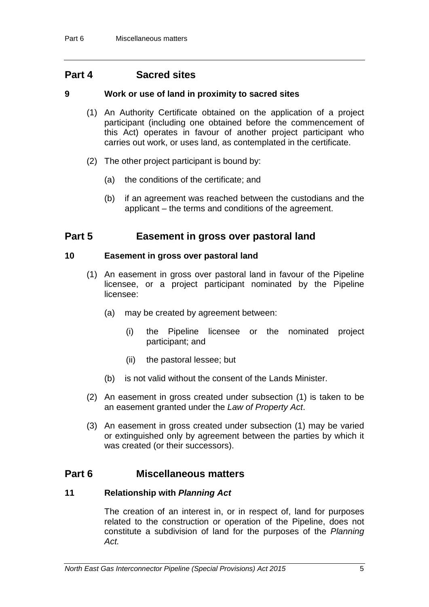### **Part 4 Sacred sites**

#### **9 Work or use of land in proximity to sacred sites**

- (1) An Authority Certificate obtained on the application of a project participant (including one obtained before the commencement of this Act) operates in favour of another project participant who carries out work, or uses land, as contemplated in the certificate.
- (2) The other project participant is bound by:
	- (a) the conditions of the certificate; and
	- (b) if an agreement was reached between the custodians and the applicant – the terms and conditions of the agreement.

### **Part 5 Easement in gross over pastoral land**

#### **10 Easement in gross over pastoral land**

- (1) An easement in gross over pastoral land in favour of the Pipeline licensee, or a project participant nominated by the Pipeline licensee:
	- (a) may be created by agreement between:
		- (i) the Pipeline licensee or the nominated project participant; and
		- (ii) the pastoral lessee; but
	- (b) is not valid without the consent of the Lands Minister.
- (2) An easement in gross created under subsection (1) is taken to be an easement granted under the *Law of Property Act*.
- (3) An easement in gross created under subsection (1) may be varied or extinguished only by agreement between the parties by which it was created (or their successors).

### **Part 6 Miscellaneous matters**

#### **11 Relationship with** *Planning Act*

The creation of an interest in, or in respect of, land for purposes related to the construction or operation of the Pipeline, does not constitute a subdivision of land for the purposes of the *Planning Act.*